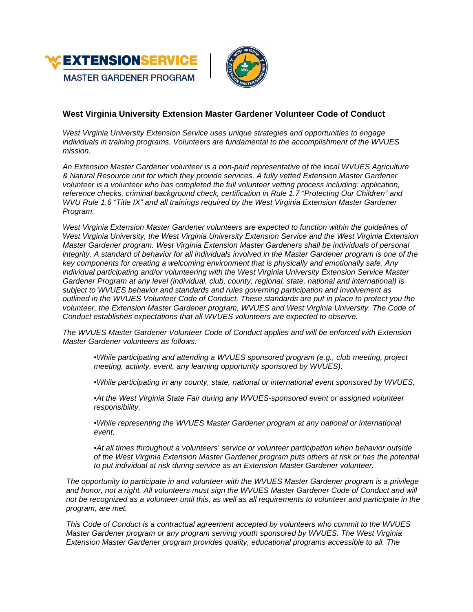

# **West Virginia University Extension Master Gardener Volunteer Code of Conduct**

*West Virginia University Extension Service uses unique strategies and opportunities to engage individuals in training programs. Volunteers are fundamental to the accomplishment of the WVUES mission.*

*An Extension Master Gardener volunteer is a non-paid representative of the local WVUES Agriculture & Natural Resource unit for which they provide services. A fully vetted Extension Master Gardener volunteer is a volunteer who has completed the full volunteer vetting process including: application, reference checks, criminal background check, certification in Rule 1.7 "Protecting Our Children" and WVU Rule 1.6 "Title IX" and all trainings required by the West Virginia Extension Master Gardener Program.*

*West Virginia Extension Master Gardener volunteers are expected to function within the guidelines of West Virginia University, the West Virginia University Extension Service and the West Virginia Extension Master Gardener program. West Virginia Extension Master Gardeners shall be individuals of personal integrity. A standard of behavior for all individuals involved in the Master Gardener program is one of the key components for creating a welcoming environment that is physically and emotionally safe. Any individual participating and/or volunteering with the West Virginia University Extension Service Master Gardener Program at any level (individual, club, county, regional, state, national and international) is subject to WVUES behavior and standards and rules governing participation and involvement as outlined in the WVUES Volunteer Code of Conduct. These standards are put in place to protect you the volunteer, the Extension Master Gardener program, WVUES and West Virginia University. The Code of Conduct establishes expectations that all WVUES volunteers are expected to observe.*

*The WVUES Master Gardener Volunteer Code of Conduct applies and will be enforced with Extension Master Gardener volunteers as follows:*

*•While participating and attending a WVUES sponsored program (e.g., club meeting, project meeting, activity, event, any learning opportunity sponsored by WVUES),*

*•While participating in any county, state, national or international event sponsored by WVUES,*

*•At the West Virginia State Fair during any WVUES-sponsored event or assigned volunteer responsibility,*

*•While representing the WVUES Master Gardener program at any national or international event,*

*•At all times throughout a volunteers' service or volunteer participation when behavior outside of the West Virginia Extension Master Gardener program puts others at risk or has the potential to put individual at risk during service as an Extension Master Gardener volunteer.*

*The opportunity to participate in and volunteer with the WVUES Master Gardener program is a privilege*  and honor, not a right. All volunteers must sign the WVUES Master Gardener Code of Conduct and will *not be recognized as a volunteer until this, as well as all requirements to volunteer and participate in the program, are met.*

*This Code of Conduct is a contractual agreement accepted by volunteers who commit to the WVUES Master Gardener program or any program serving youth sponsored by WVUES. The West Virginia Extension Master Gardener program provides quality, educational programs accessible to all. The*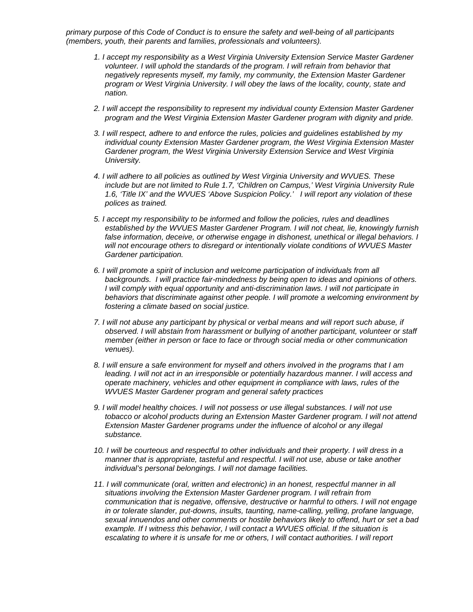*primary purpose of this Code of Conduct is to ensure the safety and well-being of all participants (members, youth, their parents and families, professionals and volunteers).* 

- *1. I accept my responsibility as a West Virginia University Extension Service Master Gardener volunteer. I will uphold the standards of the program. I will refrain from behavior that negatively represents myself, my family, my community, the Extension Master Gardener program or West Virginia University. I will obey the laws of the locality, county, state and nation.*
- *2. I will accept the responsibility to represent my individual county Extension Master Gardener program and the West Virginia Extension Master Gardener program with dignity and pride.*
- *3. I will respect, adhere to and enforce the rules, policies and guidelines established by my individual county Extension Master Gardener program, the West Virginia Extension Master Gardener program, the West Virginia University Extension Service and West Virginia University.*
- *4. I will adhere to all policies as outlined by West Virginia University and WVUES. These include but are not limited to Rule 1.7, 'Children on Campus,' West Virginia University Rule 1.6, 'Title IX' and the WVUES 'Above Suspicion Policy.' I will report any violation of these polices as trained.*
- *5. I accept my responsibility to be informed and follow the policies, rules and deadlines established by the WVUES Master Gardener Program. I will not cheat, lie, knowingly furnish false information, deceive, or otherwise engage in dishonest, unethical or illegal behaviors. I will not encourage others to disregard or intentionally violate conditions of WVUES Master Gardener participation.*
- *6. I will promote a spirit of inclusion and welcome participation of individuals from all backgrounds. I will practice fair-mindedness by being open to ideas and opinions of others. I will comply with equal opportunity and anti-discrimination laws. I will not participate in behaviors that discriminate against other people. I will promote a welcoming environment by fostering a climate based on social justice.*
- *7. I will not abuse any participant by physical or verbal means and will report such abuse, if observed. I will abstain from harassment or bullying of another participant, volunteer or staff member (either in person or face to face or through social media or other communication venues).*
- *8. I will ensure a safe environment for myself and others involved in the programs that I am leading. I will not act in an irresponsible or potentially hazardous manner. I will access and operate machinery, vehicles and other equipment in compliance with laws, rules of the WVUES Master Gardener program and general safety practices*
- *9. I will model healthy choices. I will not possess or use illegal substances. I will not use tobacco or alcohol products during an Extension Master Gardener program. I will not attend Extension Master Gardener programs under the influence of alcohol or any illegal substance.*
- *10. I will be courteous and respectful to other individuals and their property. I will dress in a manner that is appropriate, tasteful and respectful. I will not use, abuse or take another individual's personal belongings. I will not damage facilities.*
- *11. I will communicate (oral, written and electronic) in an honest, respectful manner in all situations involving the Extension Master Gardener program. I will refrain from communication that is negative, offensive, destructive or harmful to others. I will not engage in or tolerate slander, put-downs, insults, taunting, name-calling, yelling, profane language, sexual innuendos and other comments or hostile behaviors likely to offend, hurt or set a bad example. If I witness this behavior, I will contact a WVUES official. If the situation is escalating to where it is unsafe for me or others, I will contact authorities. I will report*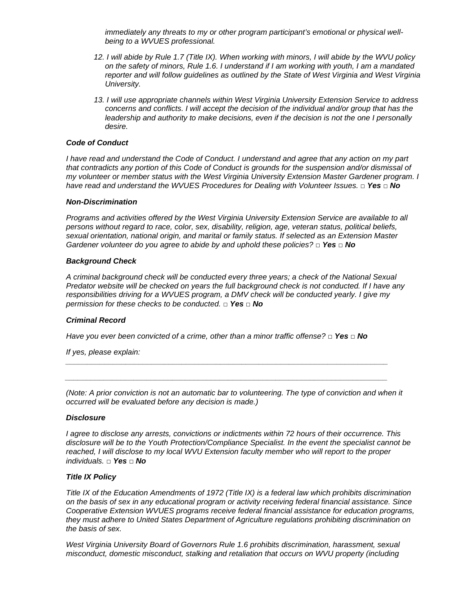*immediately any threats to my or other program participant's emotional or physical wellbeing to a WVUES professional.* 

- *12. I will abide by Rule 1.7 (Title IX). When working with minors, I will abide by the WVU policy on the safety of minors, Rule 1.6. I understand if I am working with youth, I am a mandated reporter and will follow guidelines as outlined by the State of West Virginia and West Virginia University.*
- *13. I will use appropriate channels within West Virginia University Extension Service to address concerns and conflicts. I will accept the decision of the individual and/or group that has the leadership and authority to make decisions, even if the decision is not the one I personally desire.*

# *Code of Conduct*

*I have read and understand the Code of Conduct. I understand and agree that any action on my part that contradicts any portion of this Code of Conduct is grounds for the suspension and/or dismissal of my volunteer or member status with the West Virginia University Extension Master Gardener program. I have read and understand the WVUES Procedures for Dealing with Volunteer Issues. □ Yes □ No*

### *Non-Discrimination*

*Programs and activities offered by the West Virginia University Extension Service are available to all persons without regard to race, color, sex, disability, religion, age, veteran status, political beliefs, sexual orientation, national origin, and marital or family status. If selected as an Extension Master Gardener volunteer do you agree to abide by and uphold these policies? □ Yes □ No*

### *Background Check*

*A criminal background check will be conducted every three years; a check of the National Sexual Predator website will be checked on years the full background check is not conducted. If I have any responsibilities driving for a WVUES program, a DMV check will be conducted yearly. I give my permission for these checks to be conducted. □ Yes □ No*

# *Criminal Record*

*Have you ever been convicted of a crime, other than a minor traffic offense? □ Yes □ No* 

*\_\_\_\_\_\_\_\_\_\_\_\_\_\_\_\_\_\_\_\_\_\_\_\_\_\_\_\_\_\_\_\_\_\_\_\_\_\_\_\_\_\_\_\_\_\_\_\_\_\_\_\_\_\_\_\_\_\_\_\_\_\_\_\_\_\_\_\_\_\_\_\_\_\_\_*

*\_\_\_\_\_\_\_\_\_\_\_\_\_\_\_\_\_\_\_\_\_\_\_\_\_\_\_\_\_\_\_\_\_\_\_\_\_\_\_\_\_\_\_\_\_\_\_\_\_\_\_\_\_\_\_\_\_\_\_\_\_\_\_\_\_\_\_\_\_\_\_\_\_\_\_* 

*If yes, please explain:* 

*(Note: A prior conviction is not an automatic bar to volunteering. The type of conviction and when it occurred will be evaluated before any decision is made.)* 

#### *Disclosure*

*I agree to disclose any arrests, convictions or indictments within 72 hours of their occurrence. This disclosure will be to the Youth Protection/Compliance Specialist. In the event the specialist cannot be reached, I will disclose to my local WVU Extension faculty member who will report to the proper individuals. □ Yes □ No* 

### *Title IX Policy*

*Title IX of the Education Amendments of 1972 (Title IX) is a federal law which prohibits discrimination on the basis of sex in any educational program or activity receiving federal financial assistance. Since Cooperative Extension WVUES programs receive federal financial assistance for education programs, they must adhere to United States Department of Agriculture regulations prohibiting discrimination on the basis of sex.* 

*West Virginia University Board of Governors Rule 1.6 prohibits discrimination, harassment, sexual misconduct, domestic misconduct, stalking and retaliation that occurs on WVU property (including*